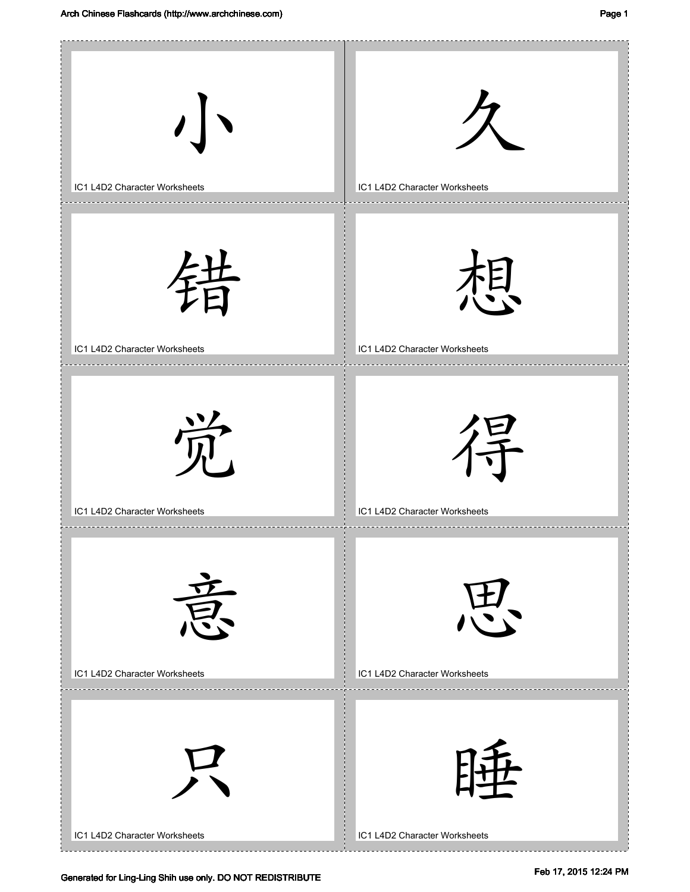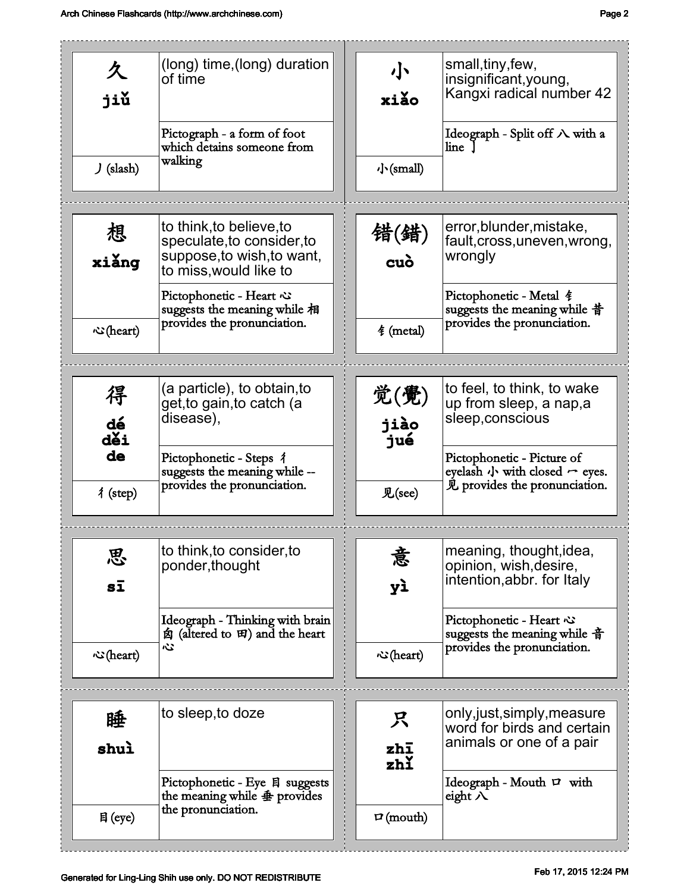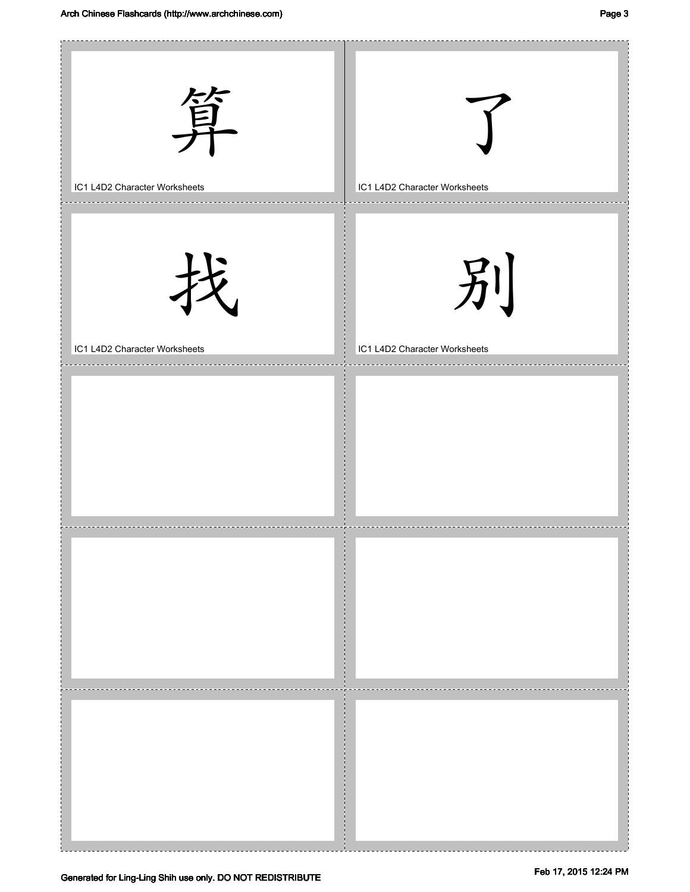